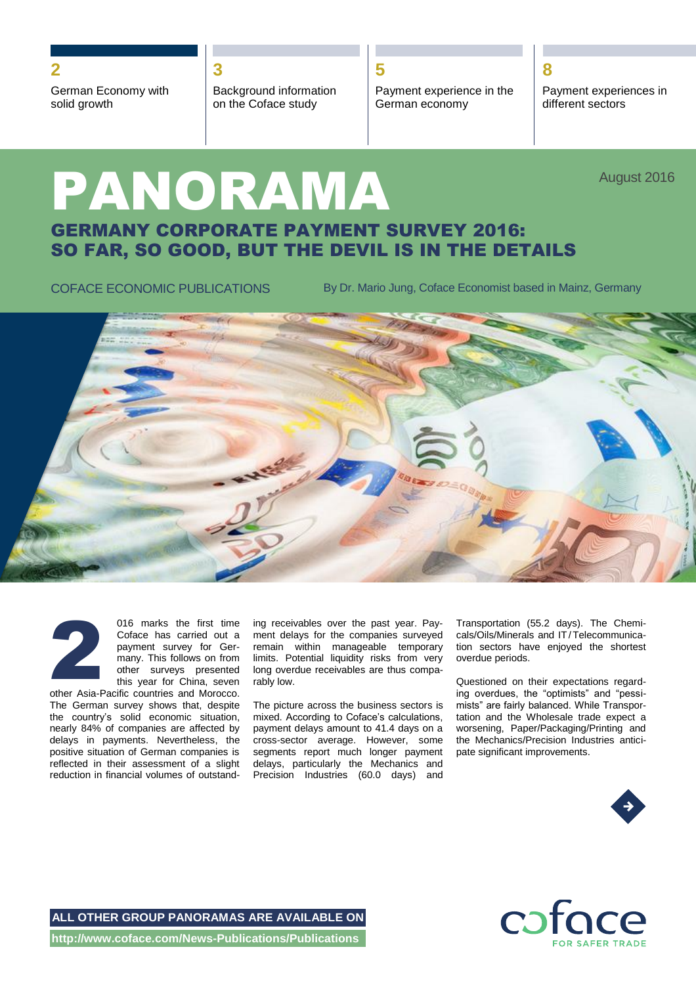**2 3 5 8**

German Economy with solid growth

Background information on the Coface study

Payment experience in the German economy

Payment experiences in different sectors

# PANORAMA GERMANY CORPORATE PAYMENT SURVEY 2016: SO FAR, SO GOOD, BUT THE DEVIL IS IN THE DETAILS August 2016

COFACE ECONOMIC PUBLICATIONS By Dr. Mario Jung, Coface Economist based in Mainz, Germany





016 marks the first time Coface has carried out a payment survey for Germany. This follows on from other surveys presented this year for China, seven

other Asia-Pacific countries and Morocco. The German survey shows that, despite the country's solid economic situation, nearly 84% of companies are affected by delays in payments. Nevertheless, the positive situation of German companies is reflected in their assessment of a slight reduction in financial volumes of outstand-

ing receivables over the past year. Payment delays for the companies surveyed remain within manageable temporary limits. Potential liquidity risks from very long overdue receivables are thus comparably low.

The picture across the business sectors is mixed. According to Coface's calculations, payment delays amount to 41.4 days on a cross-sector average. However, some segments report much longer payment delays, particularly the Mechanics and Precision Industries (60.0 days) and

Transportation (55.2 days). The Chemicals/Oils/Minerals and IT /Telecommunication sectors have enjoyed the shortest overdue periods.

Questioned on their expectations regarding overdues, the "optimists" and "pessimists" are fairly balanced. While Transportation and the Wholesale trade expect a worsening, Paper/Packaging/Printing and the Mechanics/Precision Industries anticipate significant improvements.



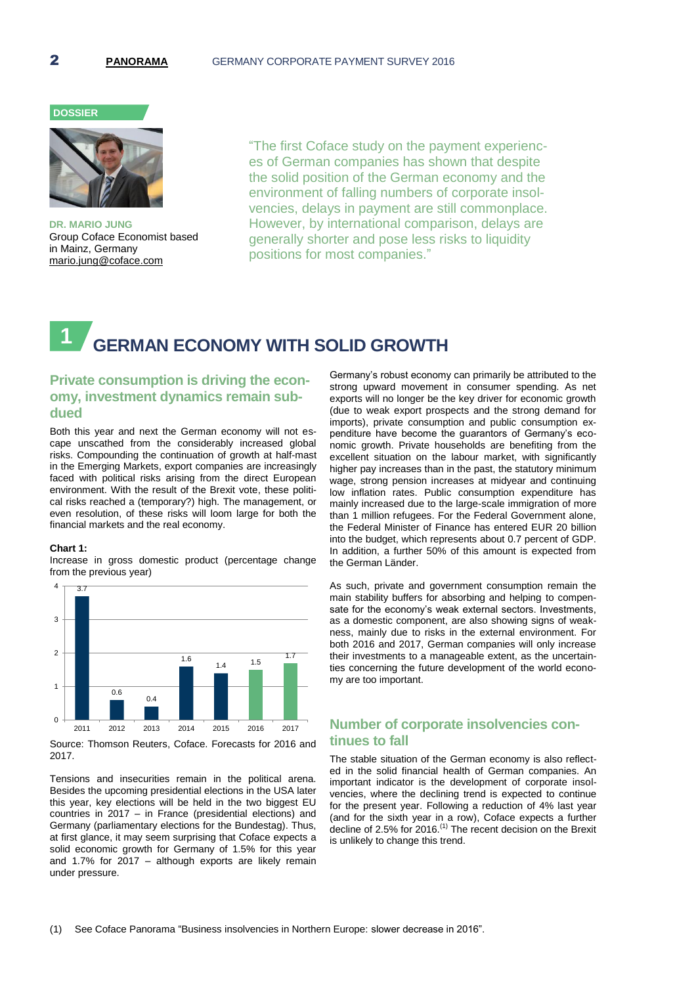# **DOSSIER**



**DR. MARIO JUNG** Group Coface Economist based in Mainz, Germany mario.jung@coface.com

"The first Coface study on the payment experiences of German companies has shown that despite the solid position of the German economy and the environment of falling numbers of corporate insolvencies, delays in payment are still commonplace. However, by international comparison, delays are generally shorter and pose less risks to liquidity positions for most companies."

# **GERMAN ECONOMY WITH SOLID GROWTH 1**

# **Private consumption is driving the economy, investment dynamics remain subdued**

Both this year and next the German economy will not escape unscathed from the considerably increased global risks. Compounding the continuation of growth at half-mast in the Emerging Markets, export companies are increasingly faced with political risks arising from the direct European environment. With the result of the Brexit vote, these political risks reached a (temporary?) high. The management, or even resolution, of these risks will loom large for both the financial markets and the real economy.

### **Chart 1:**

Increase in gross domestic product (percentage change from the previous year)



Source: Thomson Reuters, Coface. Forecasts for 2016 and 2017.

Tensions and insecurities remain in the political arena. Besides the upcoming presidential elections in the USA later this year, key elections will be held in the two biggest EU countries in 2017 – in France (presidential elections) and Germany (parliamentary elections for the Bundestag). Thus, at first glance, it may seem surprising that Coface expects a solid economic growth for Germany of 1.5% for this year and 1.7% for 2017 – although exports are likely remain under pressure.

Germany's robust economy can primarily be attributed to the strong upward movement in consumer spending. As net exports will no longer be the key driver for economic growth (due to weak export prospects and the strong demand for imports), private consumption and public consumption expenditure have become the guarantors of Germany's economic growth. Private households are benefiting from the excellent situation on the labour market, with significantly higher pay increases than in the past, the statutory minimum wage, strong pension increases at midyear and continuing low inflation rates. Public consumption expenditure has mainly increased due to the large-scale immigration of more than 1 million refugees. For the Federal Government alone, the Federal Minister of Finance has entered EUR 20 billion into the budget, which represents about 0.7 percent of GDP. In addition, a further 50% of this amount is expected from the German Länder.

As such, private and government consumption remain the main stability buffers for absorbing and helping to compensate for the economy's weak external sectors. Investments, as a domestic component, are also showing signs of weakness, mainly due to risks in the external environment. For both 2016 and 2017, German companies will only increase their investments to a manageable extent, as the uncertainties concerning the future development of the world economy are too important.

# **Number of corporate insolvencies continues to fall**

The stable situation of the German economy is also reflected in the solid financial health of German companies. An important indicator is the development of corporate insolvencies, where the declining trend is expected to continue for the present year. Following a reduction of 4% last year (and for the sixth year in a row), Coface expects a further decline of 2.5% for 2016. $<sup>(1)</sup>$  The recent decision on the Brexit</sup> is unlikely to change this trend.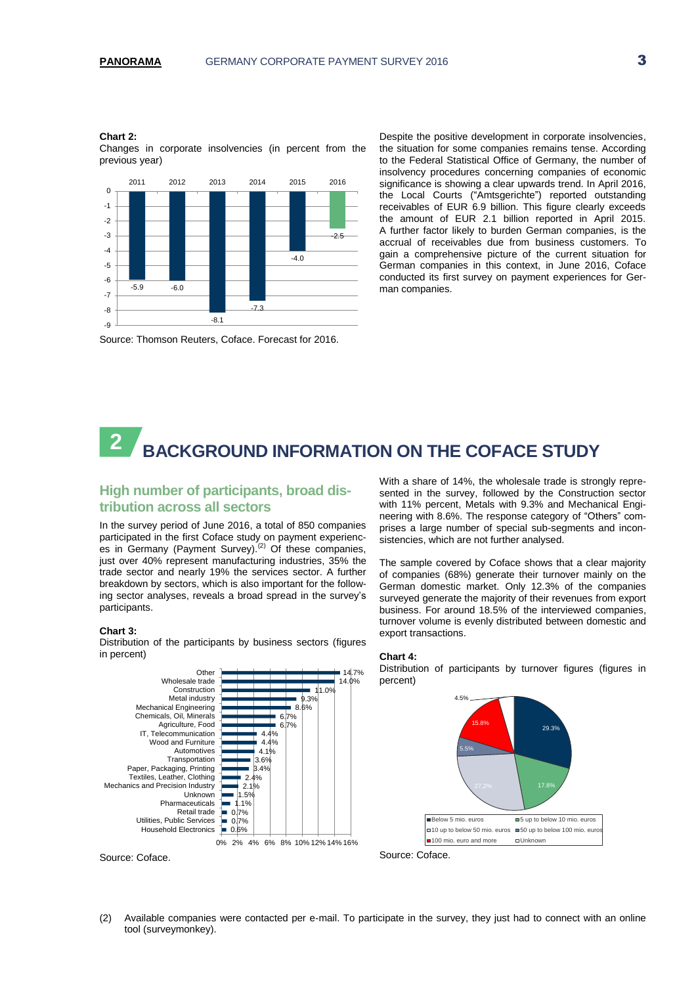#### **Chart 2:**

Changes in corporate insolvencies (in percent from the previous year)



the situation for some companies remains tense. According to the Federal Statistical Office of Germany, the number of insolvency procedures concerning companies of economic significance is showing a clear upwards trend. In April 2016, the Local Courts ("Amtsgerichte") reported outstanding receivables of EUR 6.9 billion. This figure clearly exceeds the amount of EUR 2.1 billion reported in April 2015. A further factor likely to burden German companies, is the accrual of receivables due from business customers. To gain a comprehensive picture of the current situation for German companies in this context, in June 2016, Coface conducted its first survey on payment experiences for German companies.

Despite the positive development in corporate insolvencies,

Source: Thomson Reuters, Coface. Forecast for 2016.

# **BACKGROUND INFORMATION ON THE COFACE STUDY 2**

# **High number of participants, broad distribution across all sectors**

In the survey period of June 2016, a total of 850 companies participated in the first Coface study on payment experiences in Germany (Payment Survey).<sup>(2)</sup> Of these companies, just over 40% represent manufacturing industries, 35% the trade sector and nearly 19% the services sector. A further breakdown by sectors, which is also important for the following sector analyses, reveals a broad spread in the survey's participants.

# **Chart 3:**

Distribution of the participants by business sectors (figures in percent)



Source: Coface.

With a share of 14%, the wholesale trade is strongly represented in the survey, followed by the Construction sector with 11% percent, Metals with 9.3% and Mechanical Engineering with 8.6%. The response category of "Others" comprises a large number of special sub-segments and inconsistencies, which are not further analysed.

The sample covered by Coface shows that a clear majority of companies (68%) generate their turnover mainly on the German domestic market. Only 12.3% of the companies surveyed generate the majority of their revenues from export business. For around 18.5% of the interviewed companies, turnover volume is evenly distributed between domestic and export transactions.



Distribution of participants by turnover figures (figures in percent)





(2) Available companies were contacted per e-mail. To participate in the survey, they just had to connect with an online tool (surveymonkey).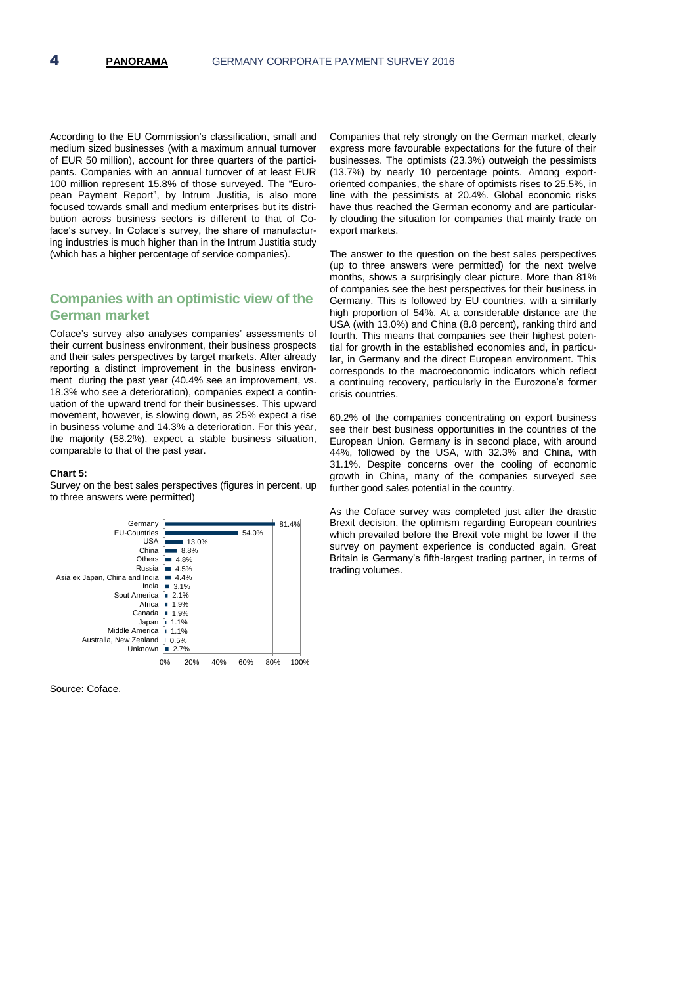According to the EU Commission's classification, small and medium sized businesses (with a maximum annual turnover of EUR 50 million), account for three quarters of the participants. Companies with an annual turnover of at least EUR 100 million represent 15.8% of those surveyed. The "European Payment Report", by Intrum Justitia, is also more focused towards small and medium enterprises but its distribution across business sectors is different to that of Coface's survey. In Coface's survey, the share of manufacturing industries is much higher than in the Intrum Justitia study (which has a higher percentage of service companies).

# **Companies with an optimistic view of the German market**

Coface's survey also analyses companies' assessments of their current business environment, their business prospects and their sales perspectives by target markets. After already reporting a distinct improvement in the business environment during the past year (40.4% see an improvement, vs. 18.3% who see a deterioration), companies expect a continuation of the upward trend for their businesses. This upward movement, however, is slowing down, as 25% expect a rise in business volume and 14.3% a deterioration. For this year, the majority (58.2%), expect a stable business situation, comparable to that of the past year.

#### **Chart 5:**

Survey on the best sales perspectives (figures in percent, up to three answers were permitted)



Source: Coface.

Companies that rely strongly on the German market, clearly express more favourable expectations for the future of their businesses. The optimists (23.3%) outweigh the pessimists (13.7%) by nearly 10 percentage points. Among exportoriented companies, the share of optimists rises to 25.5%, in line with the pessimists at 20.4%. Global economic risks have thus reached the German economy and are particularly clouding the situation for companies that mainly trade on export markets.

The answer to the question on the best sales perspectives (up to three answers were permitted) for the next twelve months, shows a surprisingly clear picture. More than 81% of companies see the best perspectives for their business in Germany. This is followed by EU countries, with a similarly high proportion of 54%. At a considerable distance are the USA (with 13.0%) and China (8.8 percent), ranking third and fourth. This means that companies see their highest potential for growth in the established economies and, in particular, in Germany and the direct European environment. This corresponds to the macroeconomic indicators which reflect a continuing recovery, particularly in the Eurozone's former crisis countries.

60.2% of the companies concentrating on export business see their best business opportunities in the countries of the European Union. Germany is in second place, with around 44%, followed by the USA, with 32.3% and China, with 31.1%. Despite concerns over the cooling of economic growth in China, many of the companies surveyed see further good sales potential in the country.

As the Coface survey was completed just after the drastic Brexit decision, the optimism regarding European countries which prevailed before the Brexit vote might be lower if the survey on payment experience is conducted again. Great Britain is Germany's fifth-largest trading partner, in terms of trading volumes.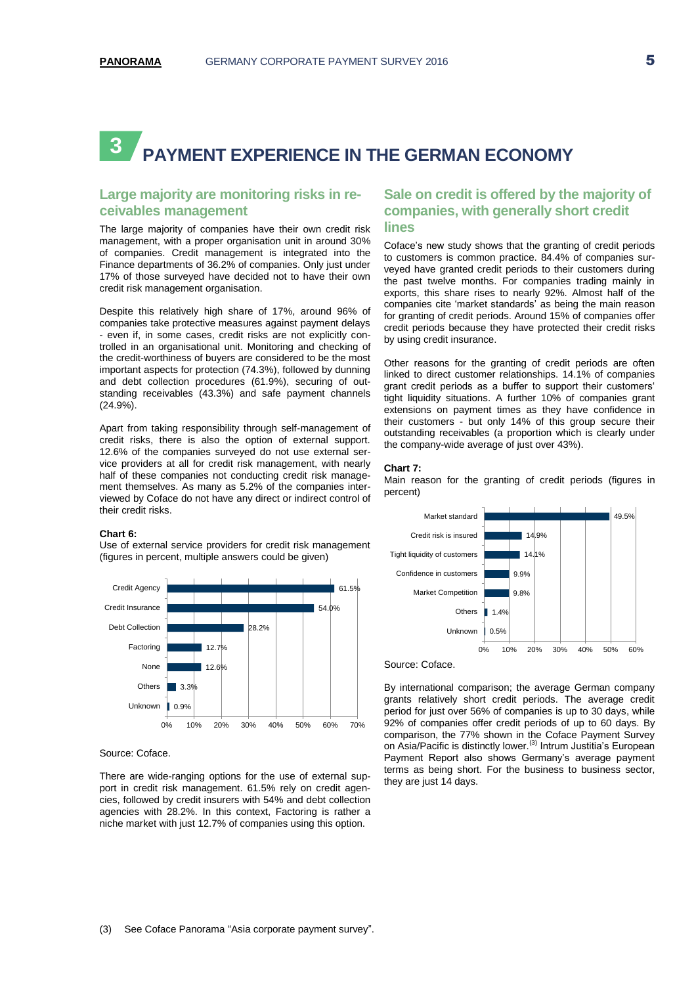# **PAYMENT EXPERIENCE IN THE GERMAN ECONOMY 3**

# **Large majority are monitoring risks in receivables management**

The large majority of companies have their own credit risk management, with a proper organisation unit in around 30% of companies. Credit management is integrated into the Finance departments of 36.2% of companies. Only just under 17% of those surveyed have decided not to have their own credit risk management organisation.

Despite this relatively high share of 17%, around 96% of companies take protective measures against payment delays - even if, in some cases, credit risks are not explicitly controlled in an organisational unit. Monitoring and checking of the credit-worthiness of buyers are considered to be the most important aspects for protection (74.3%), followed by dunning and debt collection procedures (61.9%), securing of outstanding receivables (43.3%) and safe payment channels (24.9%).

Apart from taking responsibility through self-management of credit risks, there is also the option of external support. 12.6% of the companies surveyed do not use external service providers at all for credit risk management, with nearly half of these companies not conducting credit risk management themselves. As many as 5.2% of the companies interviewed by Coface do not have any direct or indirect control of their credit risks.

### **Chart 6:**

Use of external service providers for credit risk management (figures in percent, multiple answers could be given)



### Source: Coface.

There are wide-ranging options for the use of external support in credit risk management. 61.5% rely on credit agencies, followed by credit insurers with 54% and debt collection agencies with 28.2%. In this context, Factoring is rather a niche market with just 12.7% of companies using this option.

# **Sale on credit is offered by the majority of companies, with generally short credit lines**

Coface's new study shows that the granting of credit periods to customers is common practice. 84.4% of companies surveyed have granted credit periods to their customers during the past twelve months. For companies trading mainly in exports, this share rises to nearly 92%. Almost half of the companies cite 'market standards' as being the main reason for granting of credit periods. Around 15% of companies offer credit periods because they have protected their credit risks by using credit insurance.

Other reasons for the granting of credit periods are often linked to direct customer relationships. 14.1% of companies grant credit periods as a buffer to support their customers' tight liquidity situations. A further 10% of companies grant extensions on payment times as they have confidence in their customers - but only 14% of this group secure their outstanding receivables (a proportion which is clearly under the company-wide average of just over 43%).

### **Chart 7:**

Main reason for the granting of credit periods (figures in percent)



Source: Coface.

By international comparison; the average German company grants relatively short credit periods. The average credit period for just over 56% of companies is up to 30 days, while 92% of companies offer credit periods of up to 60 days. By comparison, the 77% shown in the Coface Payment Survey on Asia/Pacific is distinctly lower.<sup>(3)</sup> Intrum Justitia's European Payment Report also shows Germany's average payment terms as being short. For the business to business sector, they are just 14 days.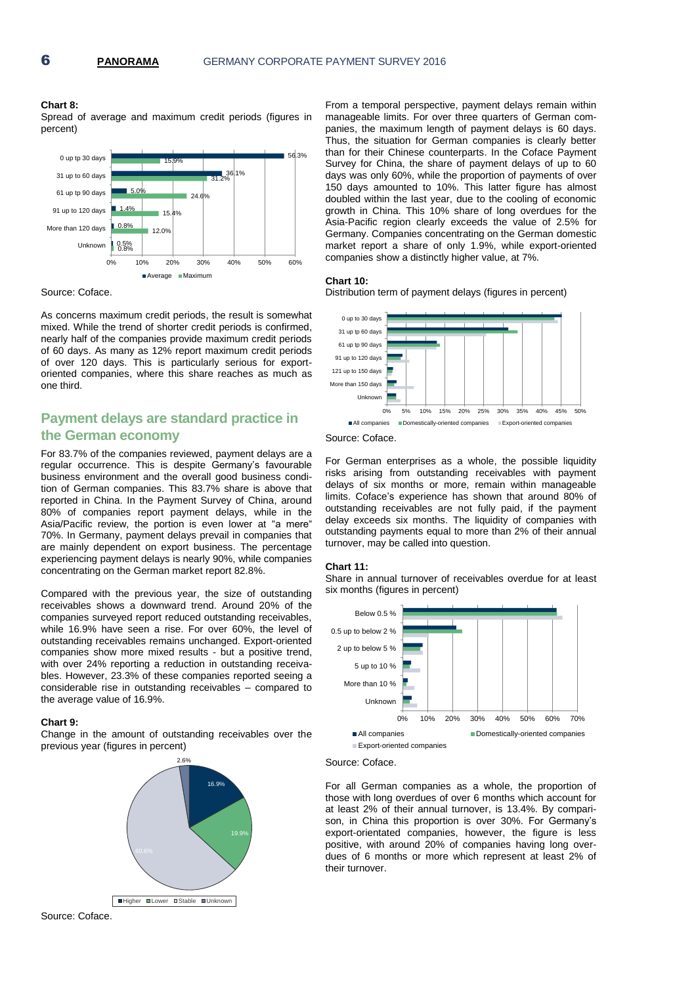### **Chart 8:**

Spread of average and maximum credit periods (figures in percent)



Source: Coface.

As concerns maximum credit periods, the result is somewhat mixed. While the trend of shorter credit periods is confirmed, nearly half of the companies provide maximum credit periods of 60 days. As many as 12% report maximum credit periods of over 120 days. This is particularly serious for exportoriented companies, where this share reaches as much as one third.

# **Payment delays are standard practice in the German economy**

For 83.7% of the companies reviewed, payment delays are a regular occurrence. This is despite Germany's favourable business environment and the overall good business condition of German companies. This 83.7% share is above that reported in China. In the Payment Survey of China, around 80% of companies report payment delays, while in the Asia/Pacific review, the portion is even lower at "a mere" 70%. In Germany, payment delays prevail in companies that are mainly dependent on export business. The percentage experiencing payment delays is nearly 90%, while companies concentrating on the German market report 82.8%.

Compared with the previous year, the size of outstanding receivables shows a downward trend. Around 20% of the companies surveyed report reduced outstanding receivables, while 16.9% have seen a rise. For over 60%, the level of outstanding receivables remains unchanged. Export-oriented companies show more mixed results - but a positive trend, with over 24% reporting a reduction in outstanding receivables. However, 23.3% of these companies reported seeing a considerable rise in outstanding receivables – compared to the average value of 16.9%.

### **Chart 9:**

Change in the amount of outstanding receivables over the previous year (figures in percent)



From a temporal perspective, payment delays remain within manageable limits. For over three quarters of German companies, the maximum length of payment delays is 60 days. Thus, the situation for German companies is clearly better than for their Chinese counterparts. In the Coface Payment Survey for China, the share of payment delays of up to 60 days was only 60%, while the proportion of payments of over 150 days amounted to 10%. This latter figure has almost doubled within the last year, due to the cooling of economic growth in China. This 10% share of long overdues for the Asia-Pacific region clearly exceeds the value of 2.5% for Germany. Companies concentrating on the German domestic market report a share of only 1.9%, while export-oriented companies show a distinctly higher value, at 7%.

### **Chart 10:**

Distribution term of payment delays (figures in percent)



Source: Coface.

For German enterprises as a whole, the possible liquidity risks arising from outstanding receivables with payment delays of six months or more, remain within manageable limits. Coface's experience has shown that around 80% of outstanding receivables are not fully paid, if the payment delay exceeds six months. The liquidity of companies with outstanding payments equal to more than 2% of their annual turnover, may be called into question.

### **Chart 11:**

Share in annual turnover of receivables overdue for at least six months (figures in percent)



Source: Coface.

For all German companies as a whole, the proportion of those with long overdues of over 6 months which account for at least 2% of their annual turnover, is 13.4%. By comparison, in China this proportion is over 30%. For Germany's export-orientated companies, however, the figure is less positive, with around 20% of companies having long overdues of 6 months or more which represent at least 2% of their turnover.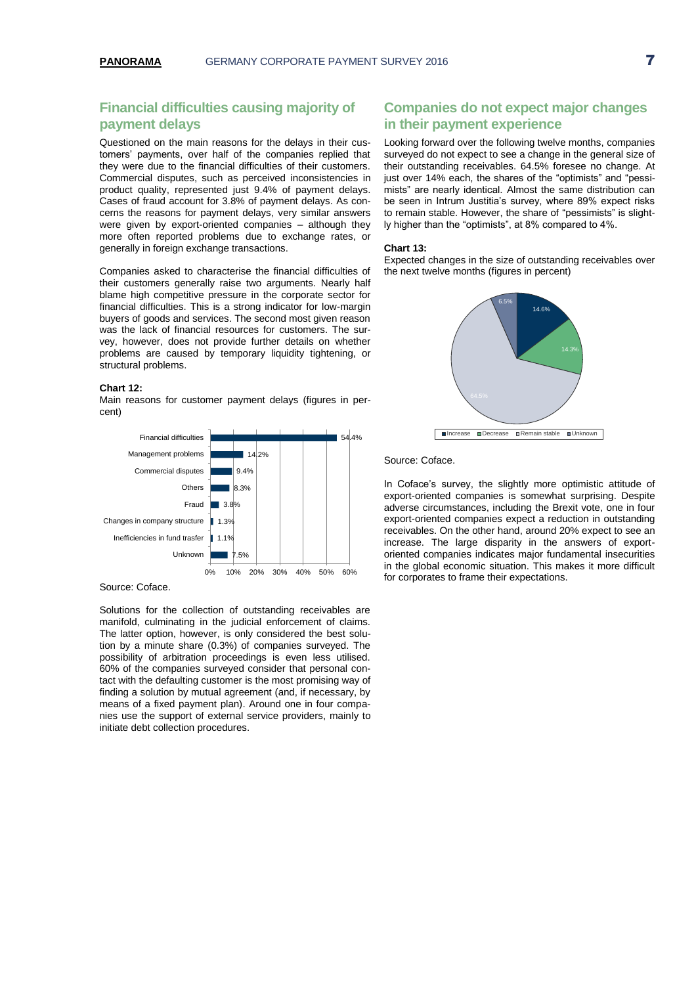# **Financial difficulties causing majority of payment delays**

Questioned on the main reasons for the delays in their customers' payments, over half of the companies replied that they were due to the financial difficulties of their customers. Commercial disputes, such as perceived inconsistencies in product quality, represented just 9.4% of payment delays. Cases of fraud account for 3.8% of payment delays. As concerns the reasons for payment delays, very similar answers were given by export-oriented companies – although they more often reported problems due to exchange rates, or generally in foreign exchange transactions.

Companies asked to characterise the financial difficulties of their customers generally raise two arguments. Nearly half blame high competitive pressure in the corporate sector for financial difficulties. This is a strong indicator for low-margin buyers of goods and services. The second most given reason was the lack of financial resources for customers. The survey, however, does not provide further details on whether problems are caused by temporary liquidity tightening, or structural problems.

### **Chart 12:**

Main reasons for customer payment delays (figures in percent)



### Source: Coface.

Solutions for the collection of outstanding receivables are manifold, culminating in the judicial enforcement of claims. The latter option, however, is only considered the best solution by a minute share (0.3%) of companies surveyed. The possibility of arbitration proceedings is even less utilised. 60% of the companies surveyed consider that personal contact with the defaulting customer is the most promising way of finding a solution by mutual agreement (and, if necessary, by means of a fixed payment plan). Around one in four companies use the support of external service providers, mainly to initiate debt collection procedures.

# **Companies do not expect major changes in their payment experience**

Looking forward over the following twelve months, companies surveyed do not expect to see a change in the general size of their outstanding receivables. 64.5% foresee no change. At just over 14% each, the shares of the "optimists" and "pessimists" are nearly identical. Almost the same distribution can be seen in Intrum Justitia's survey, where 89% expect risks to remain stable. However, the share of "pessimists" is slightly higher than the "optimists", at 8% compared to 4%.

#### **Chart 13:**

Expected changes in the size of outstanding receivables over the next twelve months (figures in percent)



### Source: Coface.

In Coface's survey, the slightly more optimistic attitude of export-oriented companies is somewhat surprising. Despite adverse circumstances, including the Brexit vote, one in four export-oriented companies expect a reduction in outstanding receivables. On the other hand, around 20% expect to see an increase. The large disparity in the answers of exportoriented companies indicates major fundamental insecurities in the global economic situation. This makes it more difficult for corporates to frame their expectations.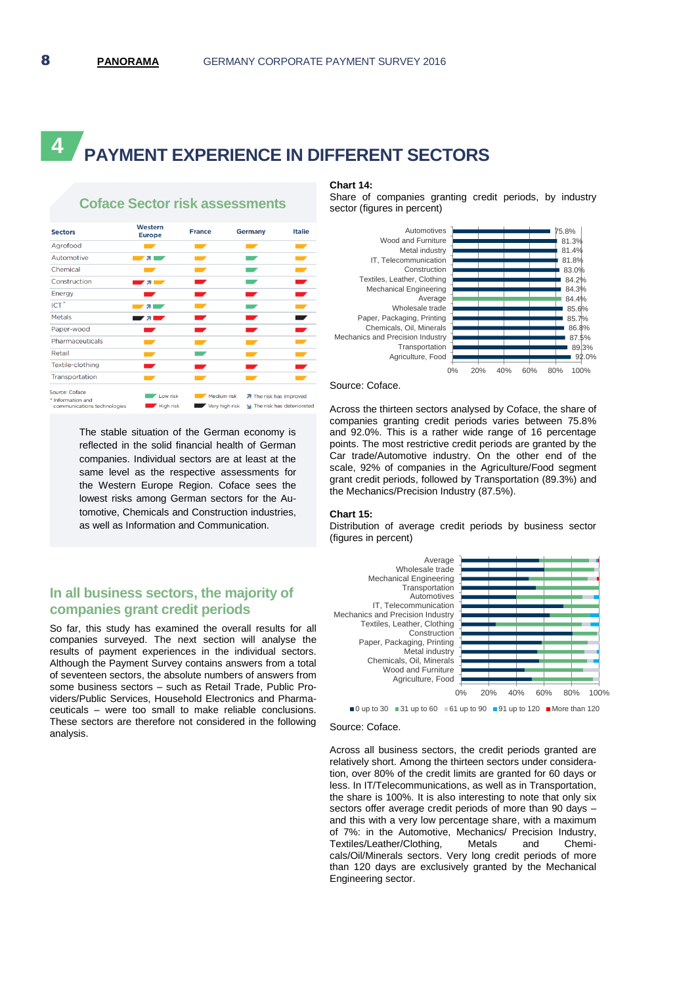# **PAYMENT EXPERIENCE IN DIFFERENT SECTORS 4**



**Coface Sector risk assessments**

The stable situation of the German economy is reflected in the solid financial health of German companies. Individual sectors are at least at the same level as the respective assessments for the Western Europe Region. Coface sees the lowest risks among German sectors for the Automotive, Chemicals and Construction industries, as well as Information and Communication.

# **In all business sectors, the majority of companies grant credit periods**

So far, this study has examined the overall results for all companies surveyed. The next section will analyse the results of payment experiences in the individual sectors. Although the Payment Survey contains answers from a total of seventeen sectors, the absolute numbers of answers from some business sectors – such as Retail Trade, Public Providers/Public Services, Household Electronics and Pharmaceuticals – were too small to make reliable conclusions. These sectors are therefore not considered in the following analysis.

# **Chart 14:**

Share of companies granting credit periods, by industry sector (figures in percent)



#### Source: Coface.

Across the thirteen sectors analysed by Coface, the share of companies granting credit periods varies between 75.8% and 92.0%. This is a rather wide range of 16 percentage points. The most restrictive credit periods are granted by the Car trade/Automotive industry. On the other end of the scale, 92% of companies in the Agriculture/Food segment grant credit periods, followed by Transportation (89.3%) and the Mechanics/Precision Industry (87.5%).

### **Chart 15:**

Distribution of average credit periods by business sector (figures in percent)



Source: Coface.

Across all business sectors, the credit periods granted are relatively short. Among the thirteen sectors under consideration, over 80% of the credit limits are granted for 60 days or less. In IT/Telecommunications, as well as in Transportation, the share is 100%. It is also interesting to note that only six sectors offer average credit periods of more than 90 days – and this with a very low percentage share, with a maximum of 7%: in the Automotive, Mechanics/ Precision Industry,<br>Textiles/Leather/Clothing, Metals and Chemi-Textiles/Leather/Clothing, Metals and Chemicals/Oil/Minerals sectors. Very long credit periods of more than 120 days are exclusively granted by the Mechanical Engineering sector.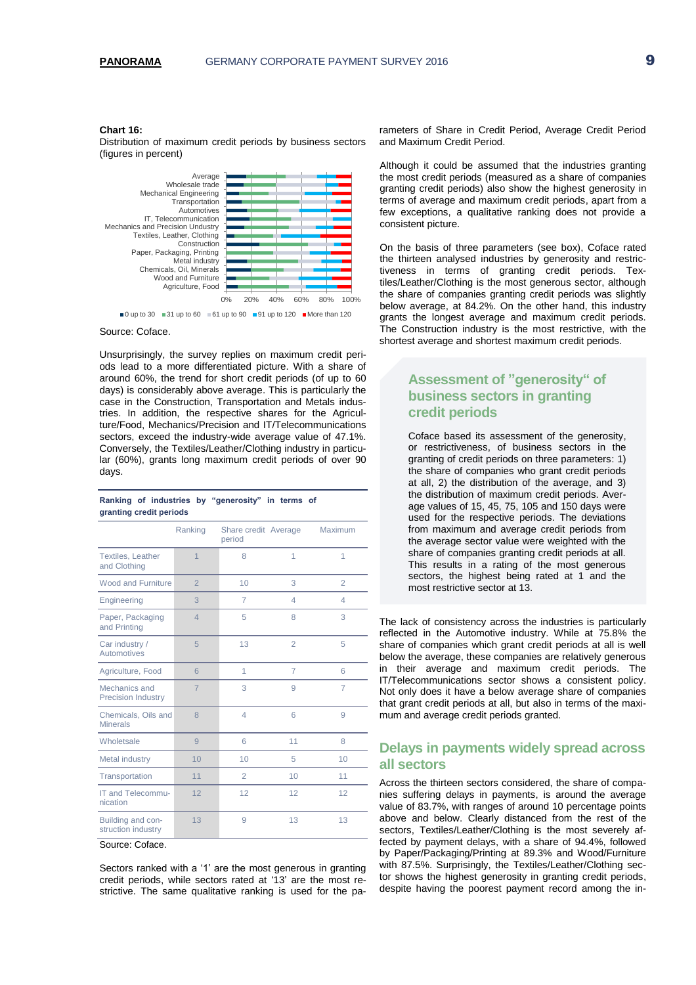### **Chart 16:**

Distribution of maximum credit periods by business sectors (figures in percent)



#### Source: Coface.

Unsurprisingly, the survey replies on maximum credit periods lead to a more differentiated picture. With a share of around 60%, the trend for short credit periods (of up to 60 days) is considerably above average. This is particularly the case in the Construction, Transportation and Metals industries. In addition, the respective shares for the Agriculture/Food, Mechanics/Precision and IT/Telecommunications sectors, exceed the industry-wide average value of 47.1%. Conversely, the Textiles/Leather/Clothing industry in particular (60%), grants long maximum credit periods of over 90 days.

**Ranking of industries by "generosity" in terms of** 

| granting credit periods                    |                |                                |                |                |
|--------------------------------------------|----------------|--------------------------------|----------------|----------------|
|                                            | Ranking        | Share credit Average<br>period |                | Maximum        |
| <b>Textiles, Leather</b><br>and Clothing   | $\overline{1}$ | 8                              | 1              | 1              |
| Wood and Furniture                         | $\overline{2}$ | 10                             | 3              | $\overline{2}$ |
| Engineering                                | 3              | 7                              | 4              | 4              |
| Paper, Packaging<br>and Printing           | $\overline{4}$ | 5                              | 8              | 3              |
| Car industry /<br>Automotives              | 5              | 13                             | $\overline{2}$ | 5              |
| Agriculture, Food                          | 6              | 1                              | $\overline{7}$ | 6              |
| Mechanics and<br><b>Precision Industry</b> | $\overline{7}$ | 3                              | $\Omega$       | $\overline{7}$ |
| Chemicals, Oils and<br><b>Minerals</b>     | 8              | $\overline{4}$                 | 6              | 9              |
| Wholetsale                                 | 9              | 6                              | 11             | 8              |
| Metal industry                             | 10             | 10                             | 5              | 10             |
| Transportation                             | 11             | $\overline{2}$                 | 10             | 11             |
| IT and Telecommu-<br>nication              | 12             | 12                             | 12             | 12             |
| Building and con-<br>struction industry    | 13             | 9                              | 13             | 13             |

Source: Coface.

Sectors ranked with a '1' are the most generous in granting credit periods, while sectors rated at '13' are the most restrictive. The same qualitative ranking is used for the pa-

rameters of Share in Credit Period, Average Credit Period and Maximum Credit Period.

Although it could be assumed that the industries granting the most credit periods (measured as a share of companies granting credit periods) also show the highest generosity in terms of average and maximum credit periods, apart from a few exceptions, a qualitative ranking does not provide a consistent picture.

On the basis of three parameters (see box), Coface rated the thirteen analysed industries by generosity and restrictiveness in terms of granting credit periods. Textiles/Leather/Clothing is the most generous sector, although the share of companies granting credit periods was slightly below average, at 84.2%. On the other hand, this industry grants the longest average and maximum credit periods. The Construction industry is the most restrictive, with the shortest average and shortest maximum credit periods.

# **Assessment of "generosity" of business sectors in granting credit periods**

Coface based its assessment of the generosity, or restrictiveness, of business sectors in the granting of credit periods on three parameters: 1) the share of companies who grant credit periods at all, 2) the distribution of the average, and 3) the distribution of maximum credit periods. Average values of 15, 45, 75, 105 and 150 days were used for the respective periods. The deviations from maximum and average credit periods from the average sector value were weighted with the share of companies granting credit periods at all. This results in a rating of the most generous sectors, the highest being rated at 1 and the most restrictive sector at 13.

The lack of consistency across the industries is particularly reflected in the Automotive industry. While at 75.8% the share of companies which grant credit periods at all is well below the average, these companies are relatively generous in their average and maximum credit periods. The IT/Telecommunications sector shows a consistent policy. Not only does it have a below average share of companies that grant credit periods at all, but also in terms of the maximum and average credit periods granted.

# **Delays in payments widely spread across all sectors**

Across the thirteen sectors considered, the share of companies suffering delays in payments, is around the average value of 83.7%, with ranges of around 10 percentage points above and below. Clearly distanced from the rest of the sectors, Textiles/Leather/Clothing is the most severely affected by payment delays, with a share of 94.4%, followed by Paper/Packaging/Printing at 89.3% and Wood/Furniture with 87.5%. Surprisingly, the Textiles/Leather/Clothing sector shows the highest generosity in granting credit periods, despite having the poorest payment record among the in-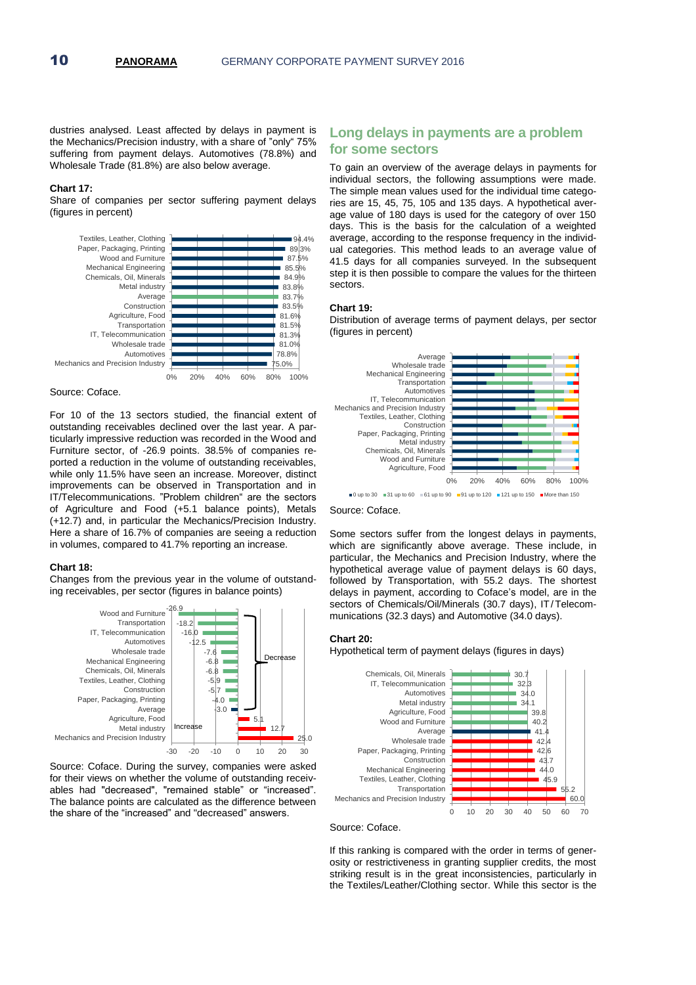dustries analysed. Least affected by delays in payment is the Mechanics/Precision industry, with a share of "only" 75% suffering from payment delays. Automotives (78.8%) and Wholesale Trade (81.8%) are also below average.

### **Chart 17:**

Share of companies per sector suffering payment delays (figures in percent)



Source: Coface.

For 10 of the 13 sectors studied, the financial extent of outstanding receivables declined over the last year. A particularly impressive reduction was recorded in the Wood and Furniture sector, of -26.9 points. 38.5% of companies reported a reduction in the volume of outstanding receivables, while only 11.5% have seen an increase. Moreover, distinct improvements can be observed in Transportation and in IT/Telecommunications. "Problem children" are the sectors of Agriculture and Food (+5.1 balance points), Metals (+12.7) and, in particular the Mechanics/Precision Industry. Here a share of 16.7% of companies are seeing a reduction in volumes, compared to 41.7% reporting an increase.

### **Chart 18:**

Changes from the previous year in the volume of outstanding receivables, per sector (figures in balance points)



Source: Coface. During the survey, companies were asked for their views on whether the volume of outstanding receivables had "decreased", "remained stable" or "increased". The balance points are calculated as the difference between the share of the "increased" and "decreased" answers.

# **Long delays in payments are a problem for some sectors**

To gain an overview of the average delays in payments for individual sectors, the following assumptions were made. The simple mean values used for the individual time categories are 15, 45, 75, 105 and 135 days. A hypothetical average value of 180 days is used for the category of over 150 days. This is the basis for the calculation of a weighted average, according to the response frequency in the individual categories. This method leads to an average value of 41.5 days for all companies surveyed. In the subsequent step it is then possible to compare the values for the thirteen sectors.

### **Chart 19:**

Distribution of average terms of payment delays, per sector (figures in percent)



Source: Coface.

Some sectors suffer from the longest delays in payments, which are significantly above average. These include, in particular, the Mechanics and Precision Industry, where the hypothetical average value of payment delays is 60 days, followed by Transportation, with 55.2 days. The shortest delays in payment, according to Coface's model, are in the sectors of Chemicals/Oil/Minerals (30.7 days), IT/Telecommunications (32.3 days) and Automotive (34.0 days).

### **Chart 20:**

Hypothetical term of payment delays (figures in days)





If this ranking is compared with the order in terms of generosity or restrictiveness in granting supplier credits, the most striking result is in the great inconsistencies, particularly in the Textiles/Leather/Clothing sector. While this sector is the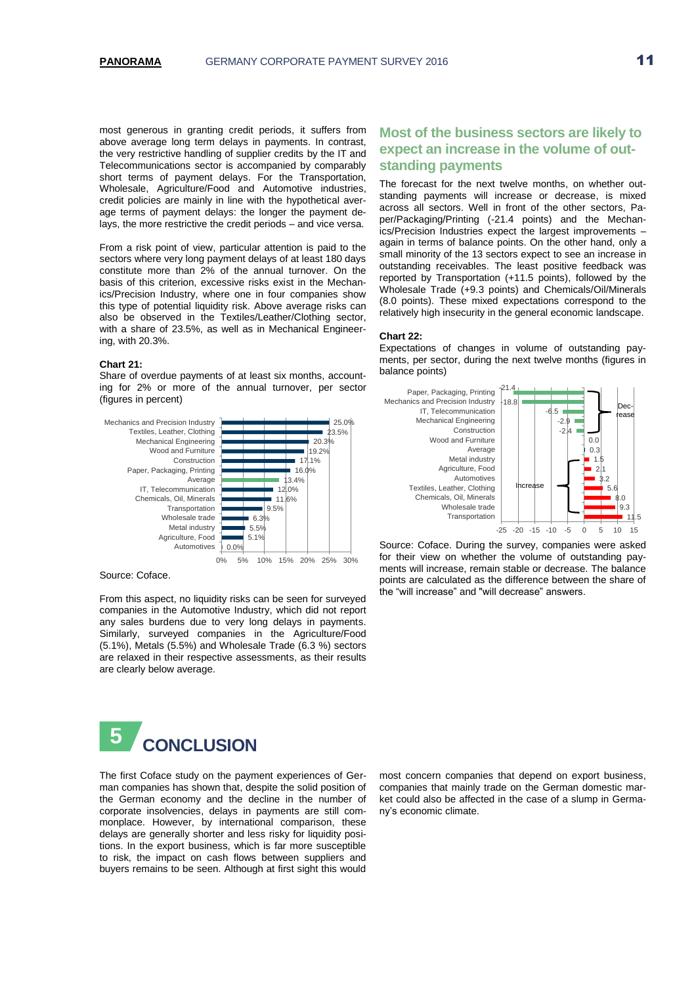most generous in granting credit periods, it suffers from above average long term delays in payments. In contrast, the very restrictive handling of supplier credits by the IT and Telecommunications sector is accompanied by comparably short terms of payment delays. For the Transportation, Wholesale, Agriculture/Food and Automotive industries, credit policies are mainly in line with the hypothetical average terms of payment delays: the longer the payment delays, the more restrictive the credit periods – and vice versa.

From a risk point of view, particular attention is paid to the sectors where very long payment delays of at least 180 days constitute more than 2% of the annual turnover. On the basis of this criterion, excessive risks exist in the Mechanics/Precision Industry, where one in four companies show this type of potential liquidity risk. Above average risks can also be observed in the Textiles/Leather/Clothing sector, with a share of 23.5%, as well as in Mechanical Engineering, with 20.3%.

### **Chart 21:**

Share of overdue payments of at least six months, accounting for 2% or more of the annual turnover, per sector (figures in percent)



Source: Coface.

From this aspect, no liquidity risks can be seen for surveyed companies in the Automotive Industry, which did not report any sales burdens due to very long delays in payments. Similarly, surveyed companies in the Agriculture/Food (5.1%), Metals (5.5%) and Wholesale Trade (6.3 %) sectors are relaxed in their respective assessments, as their results are clearly below average.



The first Coface study on the payment experiences of German companies has shown that, despite the solid position of the German economy and the decline in the number of corporate insolvencies, delays in payments are still commonplace. However, by international comparison, these delays are generally shorter and less risky for liquidity positions. In the export business, which is far more susceptible to risk, the impact on cash flows between suppliers and buyers remains to be seen. Although at first sight this would

# **Most of the business sectors are likely to expect an increase in the volume of outstanding payments**

The forecast for the next twelve months, on whether outstanding payments will increase or decrease, is mixed across all sectors. Well in front of the other sectors, Paper/Packaging/Printing (-21.4 points) and the Mechanics/Precision Industries expect the largest improvements – again in terms of balance points. On the other hand, only a small minority of the 13 sectors expect to see an increase in outstanding receivables. The least positive feedback was reported by Transportation (+11.5 points), followed by the Wholesale Trade (+9.3 points) and Chemicals/Oil/Minerals (8.0 points). These mixed expectations correspond to the relatively high insecurity in the general economic landscape.

#### **Chart 22:**

Expectations of changes in volume of outstanding payments, per sector, during the next twelve months (figures in balance points)



Source: Coface. During the survey, companies were asked for their view on whether the volume of outstanding payments will increase, remain stable or decrease. The balance points are calculated as the difference between the share of the "will increase" and "will decrease" answers.

most concern companies that depend on export business, companies that mainly trade on the German domestic market could also be affected in the case of a slump in Germany's economic climate.